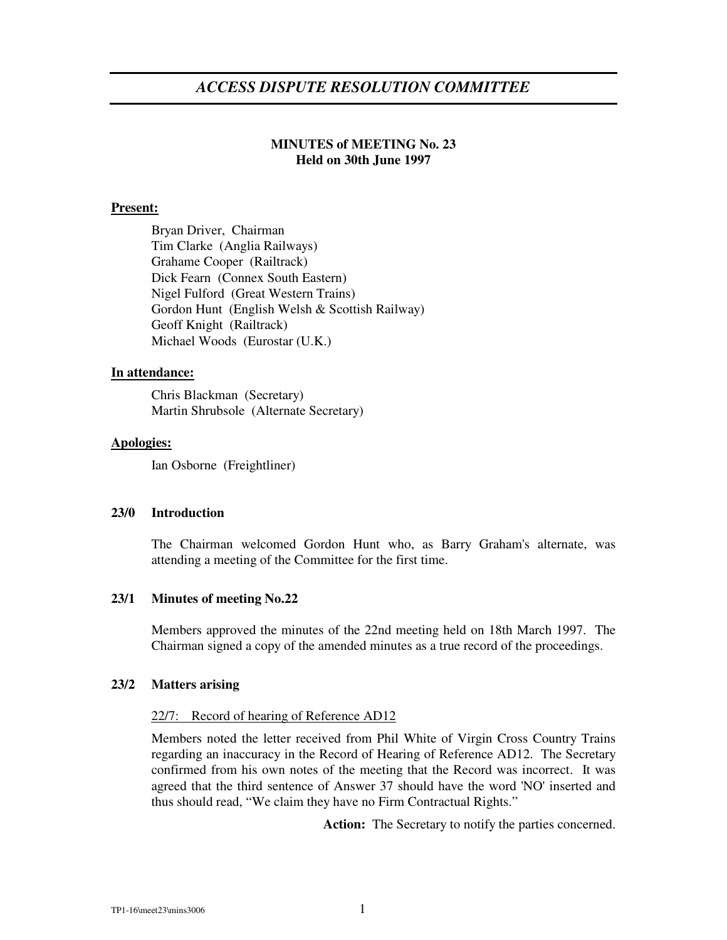# **MINUTES of MEETING No. 23 Held on 30th June 1997**

## **Present:**

Bryan Driver, Chairman Tim Clarke (Anglia Railways) Grahame Cooper (Railtrack) Dick Fearn (Connex South Eastern) Nigel Fulford (Great Western Trains) Gordon Hunt (English Welsh & Scottish Railway) Geoff Knight (Railtrack) Michael Woods (Eurostar (U.K.)

### **In attendance:**

Chris Blackman (Secretary) Martin Shrubsole (Alternate Secretary)

### **Apologies:**

Ian Osborne (Freightliner)

#### **23/0 Introduction**

The Chairman welcomed Gordon Hunt who, as Barry Graham's alternate, was attending a meeting of the Committee for the first time.

# **23/1 Minutes of meeting No.22**

Members approved the minutes of the 22nd meeting held on 18th March 1997. The Chairman signed a copy of the amended minutes as a true record of the proceedings.

### **23/2 Matters arising**

#### 22/7: Record of hearing of Reference AD12

Members noted the letter received from Phil White of Virgin Cross Country Trains regarding an inaccuracy in the Record of Hearing of Reference AD12. The Secretary confirmed from his own notes of the meeting that the Record was incorrect. It was agreed that the third sentence of Answer 37 should have the word 'NO' inserted and thus should read, "We claim they have no Firm Contractual Rights."

Action: The Secretary to notify the parties concerned.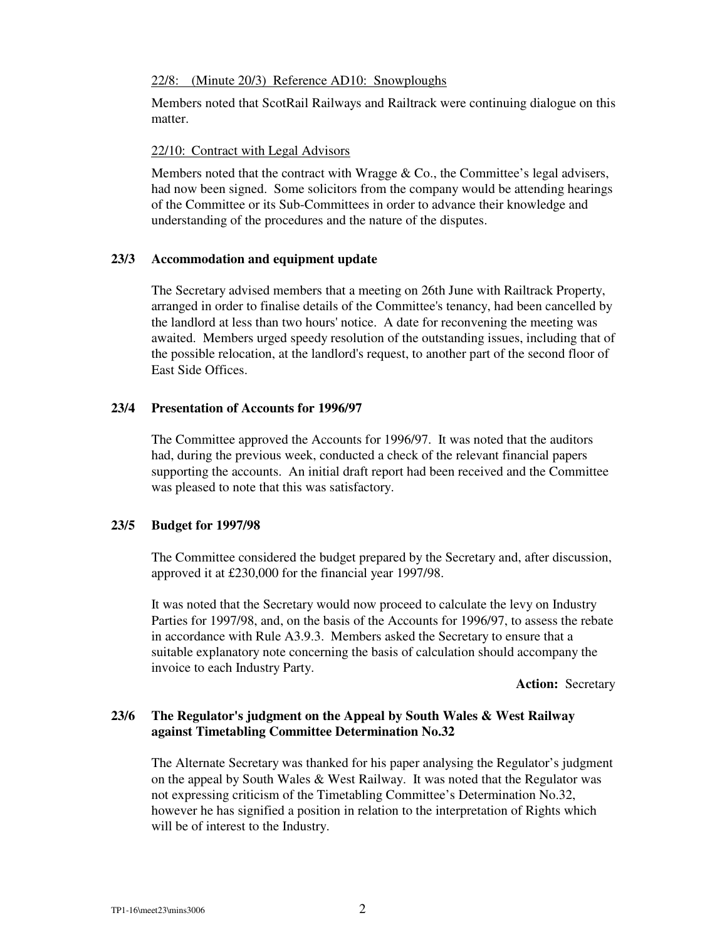#### 22/8: (Minute 20/3) Reference AD10: Snowploughs

Members noted that ScotRail Railways and Railtrack were continuing dialogue on this matter.

# 22/10: Contract with Legal Advisors

Members noted that the contract with Wragge  $& Co.,$  the Committee's legal advisers, had now been signed. Some solicitors from the company would be attending hearings of the Committee or its Sub-Committees in order to advance their knowledge and understanding of the procedures and the nature of the disputes.

### **23/3 Accommodation and equipment update**

The Secretary advised members that a meeting on 26th June with Railtrack Property, arranged in order to finalise details of the Committee's tenancy, had been cancelled by the landlord at less than two hours' notice. A date for reconvening the meeting was awaited. Members urged speedy resolution of the outstanding issues, including that of the possible relocation, at the landlord's request, to another part of the second floor of East Side Offices.

### **23/4 Presentation of Accounts for 1996/97**

The Committee approved the Accounts for 1996/97. It was noted that the auditors had, during the previous week, conducted a check of the relevant financial papers supporting the accounts. An initial draft report had been received and the Committee was pleased to note that this was satisfactory.

# **23/5 Budget for 1997/98**

The Committee considered the budget prepared by the Secretary and, after discussion, approved it at £230,000 for the financial year 1997/98.

It was noted that the Secretary would now proceed to calculate the levy on Industry Parties for 1997/98, and, on the basis of the Accounts for 1996/97, to assess the rebate in accordance with Rule A3.9.3. Members asked the Secretary to ensure that a suitable explanatory note concerning the basis of calculation should accompany the invoice to each Industry Party.

**Action:** Secretary

# **23/6 The Regulator's judgment on the Appeal by South Wales & West Railway against Timetabling Committee Determination No.32**

The Alternate Secretary was thanked for his paper analysing the Regulator's judgment on the appeal by South Wales & West Railway. It was noted that the Regulator was not expressing criticism of the Timetabling Committee's Determination No.32, however he has signified a position in relation to the interpretation of Rights which will be of interest to the Industry.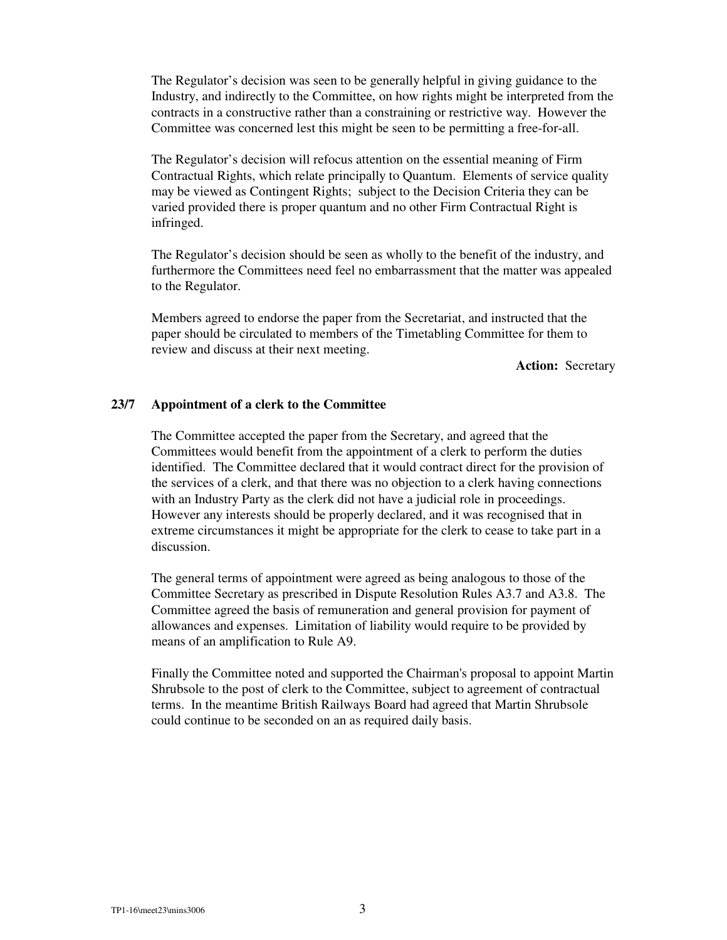The Regulator's decision was seen to be generally helpful in giving guidance to the Industry, and indirectly to the Committee, on how rights might be interpreted from the contracts in a constructive rather than a constraining or restrictive way. However the Committee was concerned lest this might be seen to be permitting a free-for-all.

The Regulator's decision will refocus attention on the essential meaning of Firm Contractual Rights, which relate principally to Quantum. Elements of service quality may be viewed as Contingent Rights; subject to the Decision Criteria they can be varied provided there is proper quantum and no other Firm Contractual Right is infringed.

The Regulator's decision should be seen as wholly to the benefit of the industry, and furthermore the Committees need feel no embarrassment that the matter was appealed to the Regulator.

Members agreed to endorse the paper from the Secretariat, and instructed that the paper should be circulated to members of the Timetabling Committee for them to review and discuss at their next meeting.

**Action:** Secretary

### **23/7 Appointment of a clerk to the Committee**

The Committee accepted the paper from the Secretary, and agreed that the Committees would benefit from the appointment of a clerk to perform the duties identified. The Committee declared that it would contract direct for the provision of the services of a clerk, and that there was no objection to a clerk having connections with an Industry Party as the clerk did not have a judicial role in proceedings. However any interests should be properly declared, and it was recognised that in extreme circumstances it might be appropriate for the clerk to cease to take part in a discussion.

The general terms of appointment were agreed as being analogous to those of the Committee Secretary as prescribed in Dispute Resolution Rules A3.7 and A3.8. The Committee agreed the basis of remuneration and general provision for payment of allowances and expenses. Limitation of liability would require to be provided by means of an amplification to Rule A9.

Finally the Committee noted and supported the Chairman's proposal to appoint Martin Shrubsole to the post of clerk to the Committee, subject to agreement of contractual terms. In the meantime British Railways Board had agreed that Martin Shrubsole could continue to be seconded on an as required daily basis.